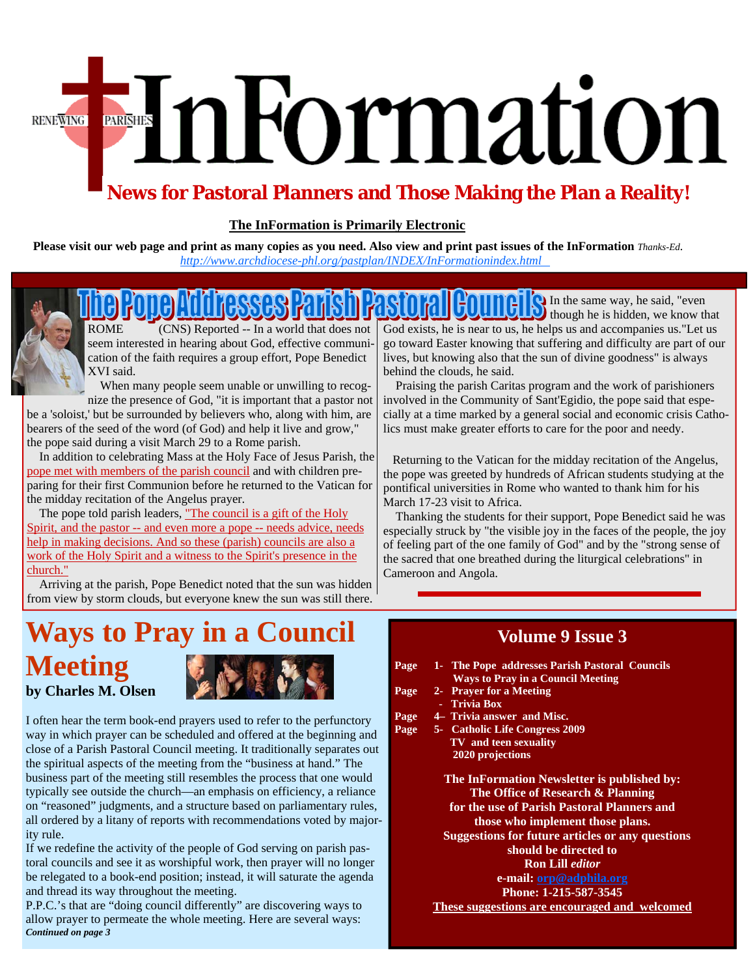# FinFormation **RENEWING**

## **News for Pastoral Planners and Those Making the Plan a Reality!**

#### **The InFormation is Primarily Electronic**

**Please visit our web page and print as many copies as you need. Also view and print past issues of the InFormation** *Thanks-Ed. [http://www.archdiocese-phl.org/pastplan/](http://www.archphila.org/pastplan/INDEX/InFormationindex.html)INDEX/InFormationindex.html* 



ROME (CNS) Reported -- In a world that does not seem interested in hearing about God, effective communication of the faith requires a group effort, Pope Benedict XVI said.

When many people seem unable or unwilling to recog-

nize the presence of God, "it is important that a pastor not be a 'soloist,' but be surrounded by believers who, along with him, are bearers of the seed of the word (of God) and help it live and grow," the pope said during a visit March 29 to a Rome parish.

 In addition to celebrating Mass at the Holy Face of Jesus Parish, the pope met with members of the parish council and with children preparing for their first Communion before he returned to the Vatican for the midday recitation of the Angelus prayer.

The pope told parish leaders, "The council is a gift of the Holy Spirit, and the pastor -- and even more a pope -- needs advice, needs help in making decisions. And so these (parish) councils are also a work of the Holy Spirit and a witness to the Spirit's presence in the church."

 Arriving at the parish, Pope Benedict noted that the sun was hidden from view by storm clouds, but everyone knew the sun was still there.

In the same way, he said, "even though he is hidden, we know that God exists, he is near to us, he helps us and accompanies us."Let us go toward Easter knowing that suffering and difficulty are part of our lives, but knowing also that the sun of divine goodness" is always behind the clouds, he said.

 Praising the parish Caritas program and the work of parishioners involved in the Community of Sant'Egidio, the pope said that especially at a time marked by a general social and economic crisis Catholics must make greater efforts to care for the poor and needy.

 Returning to the Vatican for the midday recitation of the Angelus, the pope was greeted by hundreds of African students studying at the pontifical universities in Rome who wanted to thank him for his March 17-23 visit to Africa.

 Thanking the students for their support, Pope Benedict said he was especially struck by "the visible joy in the faces of the people, the joy of feeling part of the one family of God" and by the "strong sense of the sacred that one breathed during the liturgical celebrations" in Cameroon and Angola.

## **Ways to Pray in a Council Meeting by Charles M. Olsen**



I often hear the term book-end prayers used to refer to the perfunctory way in which prayer can be scheduled and offered at the beginning and close of a Parish Pastoral Council meeting. It traditionally separates out the spiritual aspects of the meeting from the "business at hand." The business part of the meeting still resembles the process that one would typically see outside the church—an emphasis on efficiency, a reliance on "reasoned" judgments, and a structure based on parliamentary rules, all ordered by a litany of reports with recommendations voted by majority rule.

If we redefine the activity of the people of God serving on parish pastoral councils and see it as worshipful work, then prayer will no longer be relegated to a book-end position; instead, it will saturate the agenda and thread its way throughout the meeting.

P.P.C.'s that are "doing council differently" are discovering ways to allow prayer to permeate the whole meeting. Here are several ways: *Continued on page 3* 

## **Volume 9 Issue 3**

- **Page 1- The Pope addresses Parish Pastoral Councils Ways to Pray in a Council Meeting**
- **Page 2- Prayer for a Meeting** 
	- **Trivia Box**
- **Page 4– Trivia answer and Misc.**
- **Page 5- Catholic Life Congress 2009 TV and teen sexuality 2020 projections**

**The InFormation Newsletter is published by: The Office of Research & Planning for the use of Parish Pastoral Planners and those who implement those plans. Suggestions for future articles or any questions** 

> **should be directed to Ron Lill** *editor*

**e-mail: orp@adphila.org** 

**Phone: 1-215-587-3545** 

**These suggestions are encouraged and welcomed**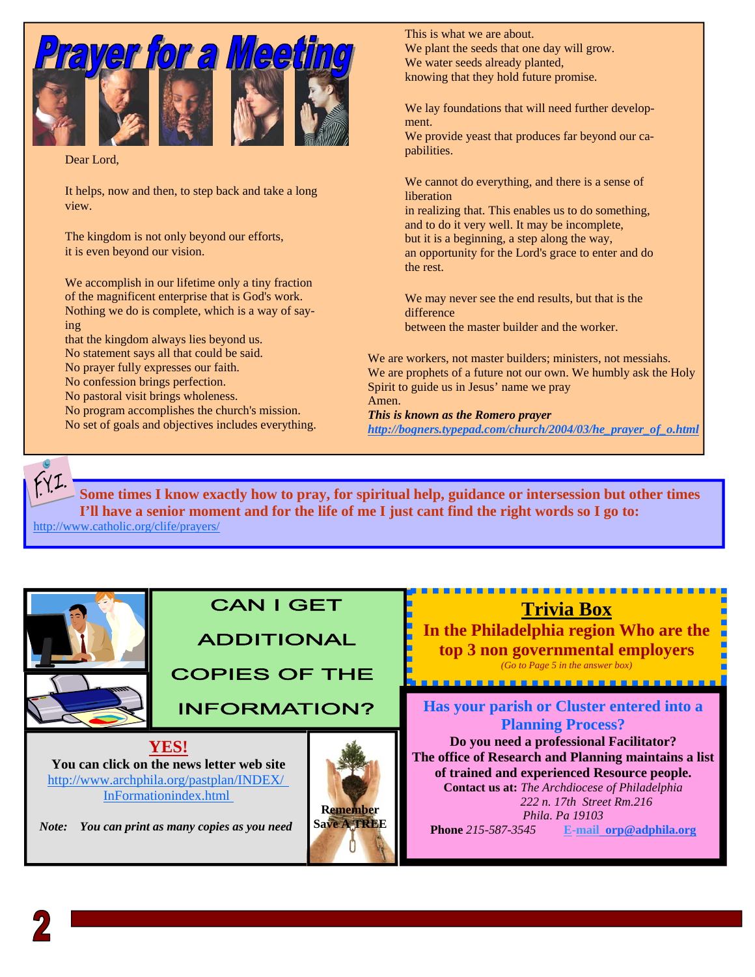

Dear Lord,

It helps, now and then, to step back and take a long view.

The kingdom is not only beyond our efforts, it is even beyond our vision.

We accomplish in our lifetime only a tiny fraction of the magnificent enterprise that is God's work. Nothing we do is complete, which is a way of saying

that the kingdom always lies beyond us. No statement says all that could be said. No prayer fully expresses our faith.

No confession brings perfection.

No pastoral visit brings wholeness.

No program accomplishes the church's mission. No set of goals and objectives includes everything. This is what we are about. We plant the seeds that one day will grow. We water seeds already planted, knowing that they hold future promise.

We lay foundations that will need further development. We provide yeast that produces far beyond our ca-

pabilities.

We cannot do everything, and there is a sense of liberation

in realizing that. This enables us to do something, and to do it very well. It may be incomplete, but it is a beginning, a step along the way, an opportunity for the Lord's grace to enter and do the rest.

We may never see the end results, but that is the difference between the master builder and the worker.

We are workers, not master builders; ministers, not messiahs. We are prophets of a future not our own. We humbly ask the Holy Spirit to guide us in Jesus' name we pray Amen. *This is known as the Romero prayer* 

*http://bogners.typepad.com/church/2004/03/he\_prayer\_of\_o.html* 



**Some times I know exactly how to pray, for spiritual help, guidance or intersession but other times I'll have a senior moment and for the life of me I just cant find the right words so I go to:** 

http://www.catholic.org/clife/prayers/



## **CAN I GET**

## **ADDITIONAL**

**COPIES OF THE** 

**INFORMATION?** 

**YES! You can click on the news letter web site**  [http://www.archphila.org/pastplan/](http://www.archphila.org/pastplan/INDEX/InFormationindex.html)INDEX/ InFormationindex.html

 *Note: You can print as many copies as you need* 



## **Trivia Box**

**In the Philadelphia region Who are the top 3 non governmental employers**  *(Go to Page 5 in the answer box)* 

. . . . . . . . . . . . . . . . . .

**Has your parish or Cluster entered into a Planning Process?** 

**Do you need a professional Facilitator? The office of Research and Planning maintains a list of trained and experienced Resource people. Contact us at:** *The Archdiocese of Philadelphia 222 n. 17th Street Rm.216 Phila. Pa 19103*  **Phone** *215-587-3545* **E-mail orp@adphila.org**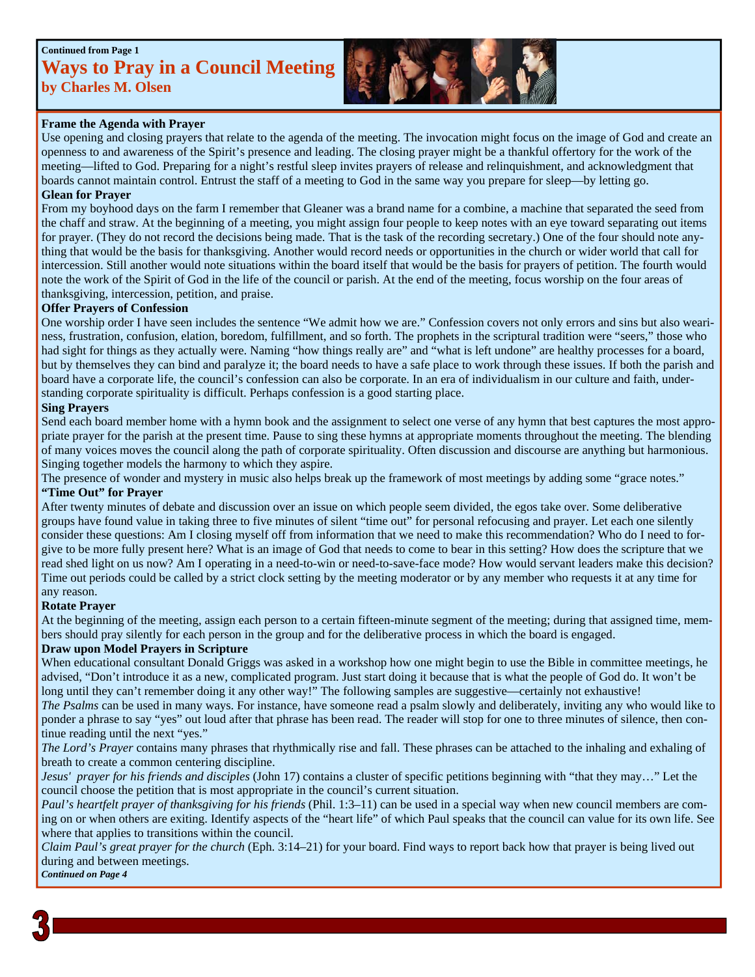### **Continued from Page 1 Ways to Pray in a Council Meeting by Charles M. Olsen**



#### **Frame the Agenda with Prayer**

Use opening and closing prayers that relate to the agenda of the meeting. The invocation might focus on the image of God and create an openness to and awareness of the Spirit's presence and leading. The closing prayer might be a thankful offertory for the work of the meeting—lifted to God. Preparing for a night's restful sleep invites prayers of release and relinquishment, and acknowledgment that boards cannot maintain control. Entrust the staff of a meeting to God in the same way you prepare for sleep—by letting go.

#### **Glean for Prayer**

From my boyhood days on the farm I remember that Gleaner was a brand name for a combine, a machine that separated the seed from the chaff and straw. At the beginning of a meeting, you might assign four people to keep notes with an eye toward separating out items for prayer. (They do not record the decisions being made. That is the task of the recording secretary.) One of the four should note anything that would be the basis for thanksgiving. Another would record needs or opportunities in the church or wider world that call for intercession. Still another would note situations within the board itself that would be the basis for prayers of petition. The fourth would note the work of the Spirit of God in the life of the council or parish. At the end of the meeting, focus worship on the four areas of thanksgiving, intercession, petition, and praise.

#### **Offer Prayers of Confession**

One worship order I have seen includes the sentence "We admit how we are." Confession covers not only errors and sins but also weariness, frustration, confusion, elation, boredom, fulfillment, and so forth. The prophets in the scriptural tradition were "seers," those who had sight for things as they actually were. Naming "how things really are" and "what is left undone" are healthy processes for a board, but by themselves they can bind and paralyze it; the board needs to have a safe place to work through these issues. If both the parish and board have a corporate life, the council's confession can also be corporate. In an era of individualism in our culture and faith, understanding corporate spirituality is difficult. Perhaps confession is a good starting place.

#### **Sing Prayers**

Send each board member home with a hymn book and the assignment to select one verse of any hymn that best captures the most appropriate prayer for the parish at the present time. Pause to sing these hymns at appropriate moments throughout the meeting. The blending of many voices moves the council along the path of corporate spirituality. Often discussion and discourse are anything but harmonious. Singing together models the harmony to which they aspire.

The presence of wonder and mystery in music also helps break up the framework of most meetings by adding some "grace notes." **"Time Out" for Prayer**

After twenty minutes of debate and discussion over an issue on which people seem divided, the egos take over. Some deliberative groups have found value in taking three to five minutes of silent "time out" for personal refocusing and prayer. Let each one silently consider these questions: Am I closing myself off from information that we need to make this recommendation? Who do I need to forgive to be more fully present here? What is an image of God that needs to come to bear in this setting? How does the scripture that we read shed light on us now? Am I operating in a need-to-win or need-to-save-face mode? How would servant leaders make this decision? Time out periods could be called by a strict clock setting by the meeting moderator or by any member who requests it at any time for any reason.

#### **Rotate Prayer**

At the beginning of the meeting, assign each person to a certain fifteen-minute segment of the meeting; during that assigned time, members should pray silently for each person in the group and for the deliberative process in which the board is engaged.

#### **Draw upon Model Prayers in Scripture**

When educational consultant Donald Griggs was asked in a workshop how one might begin to use the Bible in committee meetings, he advised, "Don't introduce it as a new, complicated program. Just start doing it because that is what the people of God do. It won't be long until they can't remember doing it any other way!" The following samples are suggestive—certainly not exhaustive!

*The Psalms* can be used in many ways. For instance, have someone read a psalm slowly and deliberately, inviting any who would like to ponder a phrase to say "yes" out loud after that phrase has been read. The reader will stop for one to three minutes of silence, then continue reading until the next "yes."

*The Lord's Prayer* contains many phrases that rhythmically rise and fall. These phrases can be attached to the inhaling and exhaling of breath to create a common centering discipline.

*Jesus' prayer for his friends and disciples* (John 17) contains a cluster of specific petitions beginning with "that they may…" Let the council choose the petition that is most appropriate in the council's current situation.

*Paul's heartfelt prayer of thanksgiving for his friends* (Phil. 1:3–11) can be used in a special way when new council members are coming on or when others are exiting. Identify aspects of the "heart life" of which Paul speaks that the council can value for its own life. See where that applies to transitions within the council.

*Claim Paul's great prayer for the church* (Eph. 3:14–21) for your board. Find ways to report back how that prayer is being lived out during and between meetings. *Continued on Page 4*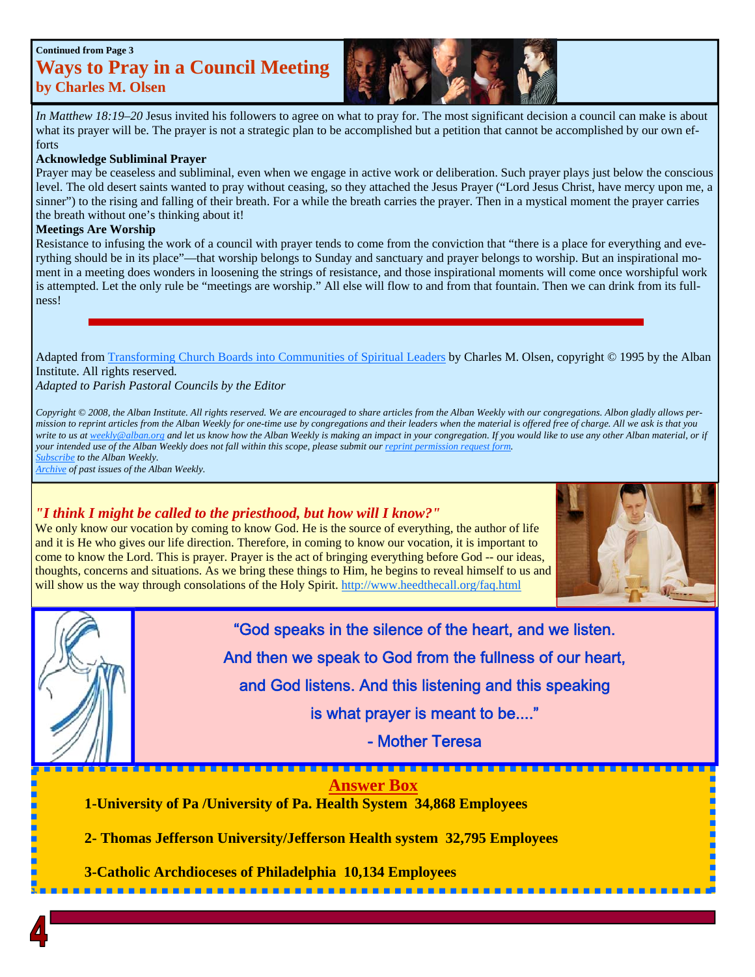#### **Continued from Page 3**

## **Ways to Pray in a Council Meeting by Charles M. Olsen**

*In Matthew 18:19–20* Jesus invited his followers to agree on what to pray for. The most significant decision a council can make is about what its prayer will be. The prayer is not a strategic plan to be accomplished but a petition that cannot be accomplished by our own efforts

#### **Acknowledge Subliminal Prayer**

Prayer may be ceaseless and subliminal, even when we engage in active work or deliberation. Such prayer plays just below the conscious level. The old desert saints wanted to pray without ceasing, so they attached the Jesus Prayer ("Lord Jesus Christ, have mercy upon me, a sinner") to the rising and falling of their breath. For a while the breath carries the prayer. Then in a mystical moment the prayer carries the breath without one's thinking about it!

#### **Meetings Are Worship**

Resistance to infusing the work of a council with prayer tends to come from the conviction that "there is a place for everything and everything should be in its place"—that worship belongs to Sunday and sanctuary and prayer belongs to worship. But an inspirational moment in a meeting does wonders in loosening the strings of resistance, and those inspirational moments will come once worshipful work is attempted. Let the only rule be "meetings are worship." All else will flow to and from that fountain. Then we can drink from its fullness!

Adapted from [Transforming Church Boards into Communities of Spiritual Leaders b](http://www.alban.org/bookdetails.aspx?id=1124)y Charles M. Olsen, copyright © 1995 by the Alban Institute. All rights reserved*.* 

*Adapted to Parish Pastoral Councils by the Editor* 

*Copyright © 2008, the Alban Institute. All rights reserved. We are encouraged to share articles from the Alban Weekly with our congregations. Albon gladly allows permission to reprint articles from the Alban Weekly for one-time use by congregations and their leaders when the material is offered free of charge. All we ask is that you write to us at weekly@alban.org and let us know how the Alban Weekly is making an impact in your congregation. If you would like to use any other Alban material, or if your intended use of the Alban Weekly does not fall within this scope, please submit our [reprint permission request form.](http://www.alban.org/form.aspx?LinkIdentifier=ekfrm&ItemID=192)  [Subscribe t](http://www.alban.org/AlbanWeeklySignup.asp)o the Alban Weekly.* 

*[Archive o](http://www.alban.org/conversation.aspx?id=4112)f past issues of the Alban Weekly.* 

#### *"I think I might be called to the priesthood, but how will I know?"*

We only know our vocation by coming to know God. He is the source of everything, the author of life and it is He who gives our life direction. Therefore, in coming to know our vocation, it is important to come to know the Lord. This is prayer. Prayer is the act of bringing everything before God -- our ideas, thoughts, concerns and situations. As we bring these things to Him, he begins to reveal himself to us and will show us the way through consolations of the Holy Spirit. http://www.heedthecall.org/faq.html





"God speaks in the silence of the heart, and we listen.

And then we speak to God from the fullness of our heart,

and God listens. And this listening and this speaking

is what prayer is meant to be...."

- Mother Teresa

**Answer Box 1-University of Pa /University of Pa. Health System 34,868 Employees** 

 **2- Thomas Jefferson University/Jefferson Health system 32,795 Employees** 

 **3-Catholic Archdioceses of Philadelphia 10,134 Employees**